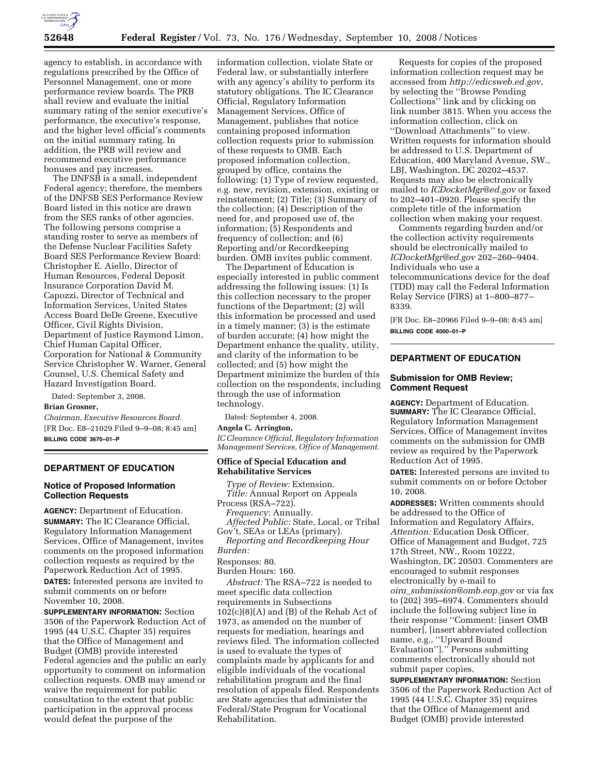

agency to establish, in accordance with regulations prescribed by the Office of Personnel Management, one or more performance review boards. The PRB shall review and evaluate the initial summary rating of the senior executive's performance, the executive's response, and the higher level official's comments on the initial summary rating. In addition, the PRB will review and recommend executive performance bonuses and pay increases.

The DNFSB is a small, independent Federal agency; therefore, the members of the DNFSB SES Performance Review Board listed in this notice are drawn from the SES ranks of other agencies. The following persons comprise a standing roster to serve as members of the Defense Nuclear Facilities Safety Board SES Performance Review Board: Christopher E. Aiello, Director of Human Resources, Federal Deposit Insurance Corporation David M. Capozzi, Director of Technical and Information Services, United States Access Board DeDe Greene, Executive Officer, Civil Rights Division, Department of Justice Raymond Limon, Chief Human Capital Officer, Corporation for National & Community Service Christopher W. Warner, General Counsel, U.S. Chemical Safety and Hazard Investigation Board.

Dated: September 3, 2008.

## **Brian Grosner,**

*Chairman, Executive Resources Board.*  [FR Doc. E8–21029 Filed 9–9–08; 8:45 am] **BILLING CODE 3670–01–P** 

## **DEPARTMENT OF EDUCATION**

#### **Notice of Proposed Information Collection Requests**

**AGENCY:** Department of Education. **SUMMARY:** The IC Clearance Official, Regulatory Information Management Services, Office of Management, invites comments on the proposed information collection requests as required by the Paperwork Reduction Act of 1995. **DATES:** Interested persons are invited to submit comments on or before November 10, 2008.

**SUPPLEMENTARY INFORMATION:** Section 3506 of the Paperwork Reduction Act of 1995 (44 U.S.C. Chapter 35) requires that the Office of Management and Budget (OMB) provide interested Federal agencies and the public an early opportunity to comment on information collection requests. OMB may amend or waive the requirement for public consultation to the extent that public participation in the approval process would defeat the purpose of the

information collection, violate State or Federal law, or substantially interfere with any agency's ability to perform its statutory obligations. The IC Clearance Official, Regulatory Information Management Services, Office of Management, publishes that notice containing proposed information collection requests prior to submission of these requests to OMB. Each proposed information collection, grouped by office, contains the following: (1) Type of review requested, e.g. new, revision, extension, existing or reinstatement; (2) Title; (3) Summary of the collection; (4) Description of the need for, and proposed use of, the information; (5) Respondents and frequency of collection; and (6) Reporting and/or Recordkeeping burden. OMB invites public comment.

The Department of Education is especially interested in public comment addressing the following issues: (1) Is this collection necessary to the proper functions of the Department; (2) will this information be processed and used in a timely manner; (3) is the estimate of burden accurate; (4) how might the Department enhance the quality, utility, and clarity of the information to be collected; and (5) how might the Department minimize the burden of this collection on the respondents, including through the use of information technology.

Dated: September 4, 2008.

### **Angela C. Arrington,**

*IC Clearance Official, Regulatory Information Management Services, Office of Management.* 

#### **Office of Special Education and Rehabilitative Services**

*Type of Review:* Extension. *Title:* Annual Report on Appeals Process (RSA–722).

*Frequency:* Annually. *Affected Public:* State, Local, or Tribal Gov't, SEAs or LEAs (primary).

*Reporting and Recordkeeping Hour Burden:* 

Responses: 80.

Burden Hours: 160.

*Abstract:* The RSA–722 is needed to meet specific data collection requirements in Subsections  $102(c)(8)(A)$  and (B) of the Rehab Act of 1973, as amended on the number of requests for mediation, hearings and reviews filed. The information collected is used to evaluate the types of complaints made by applicants for and eligible individuals of the vocational rehabilitation program and the final resolution of appeals filed. Respondents are State agencies that administer the Federal/State Program for Vocational Rehabilitation.

Requests for copies of the proposed information collection request may be accessed from *http://edicsweb.ed.gov*, by selecting the ''Browse Pending Collections'' link and by clicking on link number 3815. When you access the information collection, click on ''Download Attachments'' to view. Written requests for information should be addressed to U.S. Department of Education, 400 Maryland Avenue, SW., LBJ, Washington, DC 20202–4537. Requests may also be electronically mailed to *ICDocketMgr@ed.gov* or faxed to 202–401–0920. Please specify the complete title of the information collection when making your request.

Comments regarding burden and/or the collection activity requirements should be electronically mailed to *ICDocketMgr@ed.gov* 202–260–9404. Individuals who use a telecommunications device for the deaf (TDD) may call the Federal Information Relay Service (FIRS) at 1–800–877– 8339.

[FR Doc. E8–20966 Filed 9–9–08; 8:45 am] **BILLING CODE 4000–01–P** 

# **DEPARTMENT OF EDUCATION**

#### **Submission for OMB Review; Comment Request**

**AGENCY:** Department of Education. **SUMMARY:** The IC Clearance Official, Regulatory Information Management Services, Office of Management invites comments on the submission for OMB review as required by the Paperwork Reduction Act of 1995.

**DATES:** Interested persons are invited to submit comments on or before October 10, 2008.

**ADDRESSES:** Written comments should be addressed to the Office of Information and Regulatory Affairs, *Attention:* Education Desk Officer, Office of Management and Budget, 725 17th Street, NW., Room 10222, Washington, DC 20503. Commenters are encouraged to submit responses electronically by e-mail to *oira*\_*submission@omb.eop.gov* or via fax to (202) 395–6974. Commenters should include the following subject line in their response ''Comment: [insert OMB number], [insert abbreviated collection name, e.g., ''Upward Bound Evaluation''].'' Persons submitting comments electronically should not submit paper copies.

**SUPPLEMENTARY INFORMATION:** Section 3506 of the Paperwork Reduction Act of 1995 (44 U.S.C. Chapter 35) requires that the Office of Management and Budget (OMB) provide interested